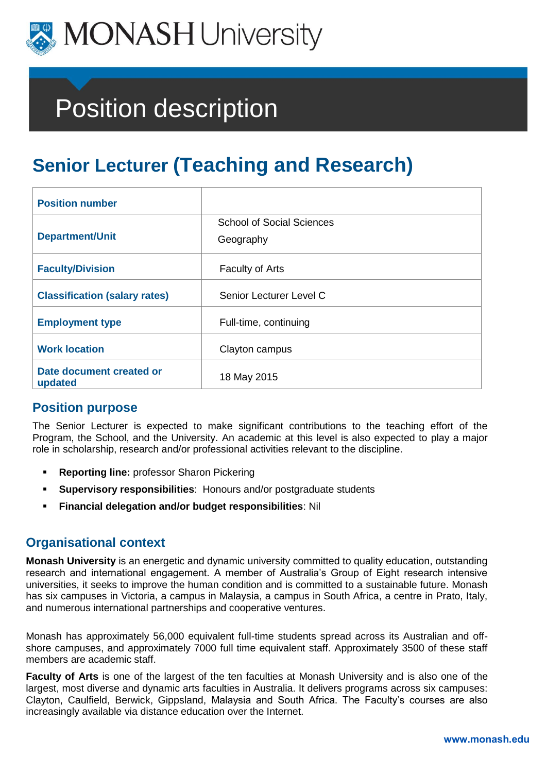

# Position description

# **Senior Lecturer (Teaching and Research)**

| <b>Position number</b>               |                                               |
|--------------------------------------|-----------------------------------------------|
| <b>Department/Unit</b>               | <b>School of Social Sciences</b><br>Geography |
| <b>Faculty/Division</b>              | <b>Faculty of Arts</b>                        |
| <b>Classification (salary rates)</b> | Senior Lecturer Level C                       |
| <b>Employment type</b>               | Full-time, continuing                         |
| <b>Work location</b>                 | Clayton campus                                |
| Date document created or<br>updated  | 18 May 2015                                   |

# **Position purpose**

The Senior Lecturer is expected to make significant contributions to the teaching effort of the Program, the School, and the University. An academic at this level is also expected to play a major role in scholarship, research and/or professional activities relevant to the discipline.

- **Reporting line:** professor Sharon Pickering
- **Supervisory responsibilities**: Honours and/or postgraduate students
- **Financial delegation and/or budget responsibilities**: Nil

# **Organisational context**

**Monash University** is an energetic and dynamic university committed to quality education, outstanding research and international engagement. A member of Australia's Group of Eight research intensive universities, it seeks to improve the human condition and is committed to a sustainable future. Monash has six campuses in Victoria, a campus in Malaysia, a campus in South Africa, a centre in Prato, Italy, and numerous international partnerships and cooperative ventures.

Monash has approximately 56,000 equivalent full-time students spread across its Australian and offshore campuses, and approximately 7000 full time equivalent staff. Approximately 3500 of these staff members are academic staff.

**Faculty of Arts** is one of the largest of the ten faculties at Monash University and is also one of the largest, most diverse and dynamic arts faculties in Australia. It delivers programs across six campuses: Clayton, Caulfield, Berwick, Gippsland, Malaysia and South Africa. The Faculty's courses are also increasingly available via distance education over the Internet.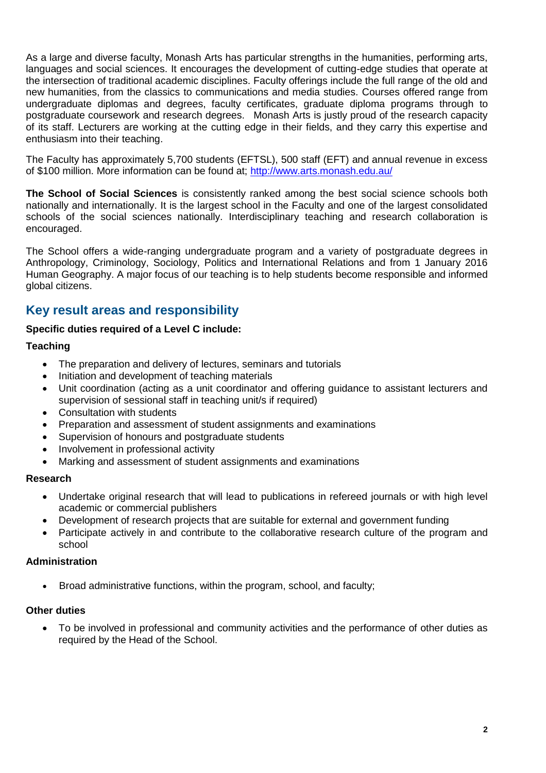As a large and diverse faculty, Monash Arts has particular strengths in the humanities, performing arts, languages and social sciences. It encourages the development of cutting-edge studies that operate at the intersection of traditional academic disciplines. Faculty offerings include the full range of the old and new humanities, from the classics to communications and media studies. Courses offered range from undergraduate diplomas and degrees, faculty certificates, graduate diploma programs through to postgraduate coursework and research degrees. Monash Arts is justly proud of the research capacity of its staff. Lecturers are working at the cutting edge in their fields, and they carry this expertise and enthusiasm into their teaching.

The Faculty has approximately 5,700 students (EFTSL), 500 staff (EFT) and annual revenue in excess of \$100 million. More information can be found at;<http://www.arts.monash.edu.au/>

**The School of Social Sciences** is consistently ranked among the best social science schools both nationally and internationally. It is the largest school in the Faculty and one of the largest consolidated schools of the social sciences nationally. Interdisciplinary teaching and research collaboration is encouraged.

The School offers a wide-ranging undergraduate program and a variety of postgraduate degrees in Anthropology, Criminology, Sociology, Politics and International Relations and from 1 January 2016 Human Geography. A major focus of our teaching is to help students become responsible and informed global citizens.

# **Key result areas and responsibility**

#### **Specific duties required of a Level C include:**

#### **Teaching**

- The preparation and delivery of lectures, seminars and tutorials
- Initiation and development of teaching materials
- Unit coordination (acting as a unit coordinator and offering guidance to assistant lecturers and supervision of sessional staff in teaching unit/s if required)
- Consultation with students
- Preparation and assessment of student assignments and examinations
- Supervision of honours and postgraduate students
- Involvement in professional activity
- Marking and assessment of student assignments and examinations

#### **Research**

- Undertake original research that will lead to publications in refereed journals or with high level academic or commercial publishers
- Development of research projects that are suitable for external and government funding
- Participate actively in and contribute to the collaborative research culture of the program and school

#### **Administration**

Broad administrative functions, within the program, school, and faculty;

#### **Other duties**

 To be involved in professional and community activities and the performance of other duties as required by the Head of the School.